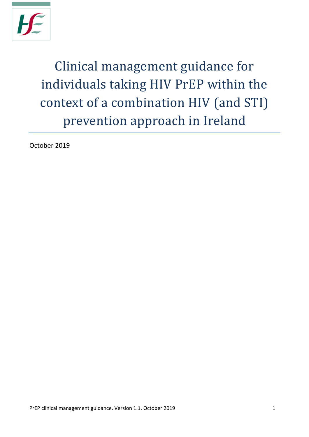

Clinical management guidance for individuals taking HIV PrEP within the context of a combination HIV (and STI) prevention approach in Ireland

October 2019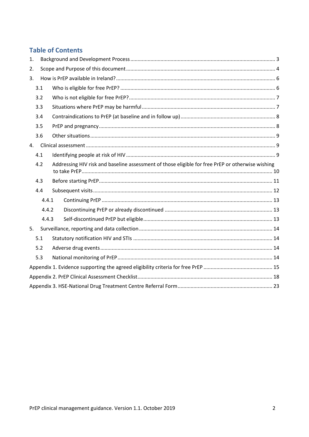# **Table of Contents**

| 1. |       |  |                                                                                                  |  |  |  |  |
|----|-------|--|--------------------------------------------------------------------------------------------------|--|--|--|--|
| 2. |       |  |                                                                                                  |  |  |  |  |
| 3. |       |  |                                                                                                  |  |  |  |  |
|    | 3.1   |  |                                                                                                  |  |  |  |  |
|    | 3.2   |  |                                                                                                  |  |  |  |  |
|    | 3.3   |  |                                                                                                  |  |  |  |  |
|    | 3.4   |  |                                                                                                  |  |  |  |  |
|    | 3.5   |  |                                                                                                  |  |  |  |  |
|    | 3.6   |  |                                                                                                  |  |  |  |  |
| 4. |       |  |                                                                                                  |  |  |  |  |
|    | 4.1   |  |                                                                                                  |  |  |  |  |
|    | 4.2   |  | Addressing HIV risk and baseline assessment of those eligible for free PrEP or otherwise wishing |  |  |  |  |
|    | 4.3   |  |                                                                                                  |  |  |  |  |
|    | 4.4   |  |                                                                                                  |  |  |  |  |
|    | 4.4.1 |  |                                                                                                  |  |  |  |  |
|    | 4.4.2 |  |                                                                                                  |  |  |  |  |
|    | 4.4.3 |  |                                                                                                  |  |  |  |  |
| 5. |       |  |                                                                                                  |  |  |  |  |
|    | 5.1   |  |                                                                                                  |  |  |  |  |
|    | 5.2   |  |                                                                                                  |  |  |  |  |
|    | 5.3   |  |                                                                                                  |  |  |  |  |
|    |       |  |                                                                                                  |  |  |  |  |
|    |       |  |                                                                                                  |  |  |  |  |
|    |       |  |                                                                                                  |  |  |  |  |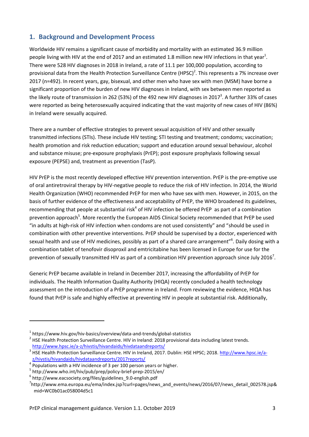## <span id="page-2-0"></span>**1. Background and Development Process**

Worldwide HIV remains a significant cause of morbidity and mortality with an estimated 36.9 million people living with HIV at the end of 2017 and an estimated 1.8 million new HIV infections in that year<sup>1</sup>. There were 528 HIV diagnoses in 2018 in Ireland, a rate of 11.1 per 100,000 population, according to provisional data from the Health Protection Surveillance Centre (HPSC)<sup>2</sup>. This represents a 7% increase over 2017 (n=492). In recent years, gay, bisexual, and other men who have sex with men (MSM) have borne a significant proportion of the burden of new HIV diagnoses in Ireland, with sex between men reported as the likely route of transmission in 262 (53%) of the 492 new HIV diagnoses in 2017 $^3$ . A further 33% of cases were reported as being heterosexually acquired indicating that the vast majority of new cases of HIV (86%) in Ireland were sexually acquired.

There are a number of effective strategies to prevent sexual acquisition of HIV and other sexually transmitted infections (STIs). These include HIV testing; STI testing and treatment; condoms; vaccination; health promotion and risk reduction education; support and education around sexual behaviour, alcohol and substance misuse; pre-exposure prophylaxis (PrEP); post exposure prophylaxis following sexual exposure (PEPSE) and, treatment as prevention (TasP).

HIV PrEP is the most recently developed effective HIV prevention intervention. PrEP is the pre-emptive use of oral antiretroviral therapy by HIV-negative people to reduce the risk of HIV infection. In 2014, the World Health Organization (WHO) recommended PrEP for men who have sex with men. However, in 2015, on the basis of further evidence of the effectiveness and acceptability of PrEP, the WHO broadened its guidelines, recommending that people at substantial risk<sup>4</sup> of HIV infection be offered PrEP as part of a combination prevention approach<sup>5</sup>. More recently the European AIDS Clinical Society recommended that PrEP be used "in adults at high-risk of HIV infection when condoms are not used consistently" and "should be used in combination with other preventive interventions. PrEP should be supervised by a doctor, experienced with sexual health and use of HIV medicines, possibly as part of a shared care arrangement"<sup>6</sup>. Daily dosing with a combination tablet of tenofovir disoproxil and emtricitabine has been licensed in Europe for use for the prevention of sexually transmitted HIV as part of a combination HIV prevention approach since July 2016<sup>7</sup>.

Generic PrEP became available in Ireland in December 2017, increasing the affordability of PrEP for individuals. The Health Information Quality Authority (HIQA) recently concluded a health technology assessment on the introduction of a PrEP programme in Ireland. From reviewing the evidence, HIQA has found that PrEP is safe and highly effective at preventing HIV in people at substantial risk. Additionally,

 $^{\rm 1}$  https://www.hiv.gov/hiv-basics/overview/data-and-trends/global-statistics

 $^2$  HSE Health Protection Surveillance Centre. HIV in Ireland: 2018 provisional data including latest trends. <http://www.hpsc.ie/a-z/hivstis/hivandaids/hivdataandreports/>

<sup>&</sup>lt;sup>3</sup> HSE Health Protection Surveillance Centre. HIV in Ireland, 2017. Dublin: HSE HPSC; 2018. [http://www.hpsc.ie/a](http://www.hpsc.ie/a-z/hivstis/hivandaids/hivdataandreports/2017reports/)[z/hivstis/hivandaids/hivdataandreports/2017reports/](http://www.hpsc.ie/a-z/hivstis/hivandaids/hivdataandreports/2017reports/)

 $<sup>4</sup>$  Populations with a HIV incidence of 3 per 100 person years or higher.</sup>

<sup>5</sup> http://www.who.int/hiv/pub/prep/policy-brief-prep-2015/en/

<sup>6</sup> http://www.eacsociety.org/files/guidelines\_9.0-english.pdf

<sup>&</sup>lt;sup>7</sup>http://www.ema.europa.eu/ema/index.jsp?curl=pages/news\_and\_events/news/2016/07/news\_detail\_002578.jsp& mid=WC0b01ac058004d5c1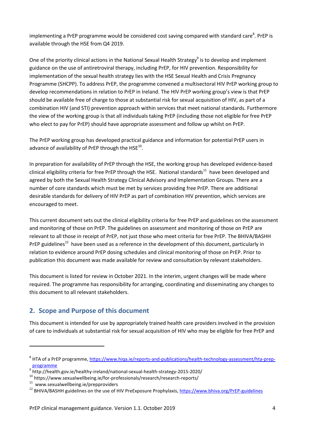implementing a PrEP programme would be considered cost saving compared with standard care<sup>8</sup>. PrEP is available through the HSE from Q4 2019.

One of the priority clinical actions in the National Sexual Health Strategy $^9$  is to develop and implement guidance on the use of antiretroviral therapy, including PrEP, for HIV prevention. Responsibility for implementation of the sexual health strategy lies with the HSE Sexual Health and Crisis Pregnancy Programme (SHCPP). To address PrEP, the programme convened a multisectoral HIV PrEP working group to develop recommendations in relation to PrEP in Ireland. The HIV PrEP working group's view is that PrEP should be available free of charge to those at substantial risk for sexual acquisition of HIV, as part of a combination HIV (and STI) prevention approach within services that meet national standards. Furthermore the view of the working group is that all individuals taking PrEP (including those not eligible for free PrEP who elect to pay for PrEP) should have appropriate assessment and follow up whilst on PrEP.

The PrEP working group has developed practical guidance and information for potential PrEP users in advance of availability of PrEP through the HSE $^{10}$ .

In preparation for availability of PrEP through the HSE, the working group has developed evidence-based clinical eligibility criteria for free PrEP through the HSE. National standards<sup>11</sup> have been developed and agreed by both the Sexual Health Strategy Clinical Advisory and Implementation Groups. There are a number of core standards which must be met by services providing free PrEP. There are additional desirable standards for delivery of HIV PrEP as part of combination HIV prevention, which services are encouraged to meet.

This current document sets out the clinical eligibility criteria for free PrEP and guidelines on the assessment and monitoring of those on PrEP. The guidelines on assessment and monitoring of those on PrEP are relevant to all those in receipt of PrEP, not just those who meet criteria for free PrEP. The BHIVA/BASHH PrEP guidelines<sup>12</sup> have been used as a reference in the development of this document, particularly in relation to evidence around PrEP dosing schedules and clinical monitoring of those on PrEP. Prior to publication this document was made available for review and consultation by relevant stakeholders.

This document is listed for review in October 2021. In the interim, urgent changes will be made where required. The programme has responsibility for arranging, coordinating and disseminating any changes to this document to all relevant stakeholders.

## <span id="page-3-0"></span>**2. Scope and Purpose of this document**

This document is intended for use by appropriately trained health care providers involved in the provision of care to individuals at substantial risk for sexual acquisition of HIV who may be eligible for free PrEP and

 $\overline{\phantom{a}}$ 

<sup>&</sup>lt;sup>8</sup> HTA of a PrEP programme, <u>https://www.hiqa.ie/reports-and-publications/health-technology-assessment/hta-prep-</u> [programme](https://www.hiqa.ie/reports-and-publications/health-technology-assessment/hta-prep-programme)

<sup>9</sup> http://health.gov.ie/healthy-ireland/national-sexual-health-strategy-2015-2020/

<sup>10</sup> https://www.sexualwellbeing.ie/for-professionals/research/research-reports/

<sup>11</sup> www.sexualwellbeing.ie/prepproviders

<sup>&</sup>lt;sup>12</sup> BHIVA/BASHH guidelines on the use of HIV PreExposure Prophylaxis,<https://www.bhiva.org/PrEP-guidelines>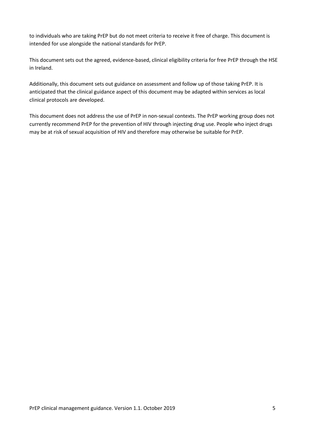to individuals who are taking PrEP but do not meet criteria to receive it free of charge. This document is intended for use alongside the national standards for PrEP.

This document sets out the agreed, evidence-based, clinical eligibility criteria for free PrEP through the HSE in Ireland.

Additionally, this document sets out guidance on assessment and follow up of those taking PrEP. It is anticipated that the clinical guidance aspect of this document may be adapted within services as local clinical protocols are developed.

This document does not address the use of PrEP in non-sexual contexts. The PrEP working group does not currently recommend PrEP for the prevention of HIV through injecting drug use. People who inject drugs may be at risk of sexual acquisition of HIV and therefore may otherwise be suitable for PrEP.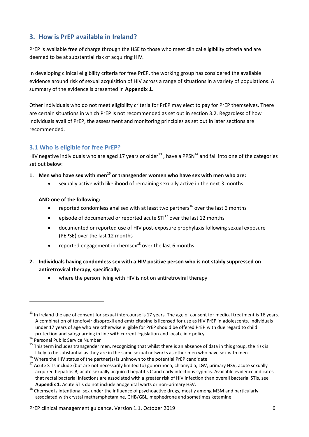## <span id="page-5-0"></span>**3. How is PrEP available in Ireland?**

PrEP is available free of charge through the HSE to those who meet clinical eligibility criteria and are deemed to be at substantial risk of acquiring HIV.

In developing clinical eligibility criteria for free PrEP, the working group has considered the available evidence around risk of sexual acquisition of HIV across a range of situations in a variety of populations. A summary of the evidence is presented in **Appendix 1**.

Other individuals who do not meet eligibility criteria for PrEP may elect to pay for PrEP themselves. There are certain situations in which PrEP is not recommended as set out in section 3.2. Regardless of how individuals avail of PrEP, the assessment and monitoring principles as set out in later sections are recommended.

## <span id="page-5-1"></span>**3.1 Who is eligible for free PrEP?**

HIV negative individuals who are aged 17 years or older<sup>13</sup>, have a PPSN<sup>14</sup> and fall into one of the categories set out below:

### **1. Men who have sex with men<sup>15</sup> or transgender women who have sex with men who are:**

sexually active with likelihood of remaining sexually active in the next 3 months

#### **AND one of the following:**

- reported condomless anal sex with at least two partners<sup>16</sup> over the last 6 months
- episode of documented or reported acute  $STI<sup>17</sup>$  over the last 12 months
- documented or reported use of HIV post-exposure prophylaxis following sexual exposure (PEPSE) over the last 12 months
- reported engagement in chemsex $^{18}$  over the last 6 months
- **2. Individuals having condomless sex with a HIV positive person who is not stably suppressed on antiretroviral therapy, specifically:** 
	- where the person living with HIV is not on antiretroviral therapy

 $13$  In Ireland the age of consent for sexual intercourse is 17 years. The age of consent for medical treatment is 16 years. A combination of tenofovir disoproxil and emtricitabine is licensed for use as HIV PrEP in adolescents. Individuals under 17 years of age who are otherwise eligible for PrEP should be offered PrEP with due regard to child protection and safeguarding in line with current legislation and local clinic policy.

<sup>&</sup>lt;sup>14</sup> Personal Public Service Number

<sup>&</sup>lt;sup>15</sup> This term includes transgender men, recognizing that whilst there is an absence of data in this group, the risk is likely to be substantial as they are in the same sexual networks as other men who have sex with men.

 $16$  Where the HIV status of the partner(s) is unknown to the potential PrEP candidate

<sup>&</sup>lt;sup>17</sup> Acute STIs include (but are not necessarily limited to) gonorrhoea, chlamydia, LGV, primary HSV, acute sexually acquired hepatitis B, acute sexually acquired hepatitis C and early infectious syphilis. Available evidence indicates that rectal bacterial infections are associated with a greater risk of HIV infection than overall bacterial STIs, see **Appendix 1**. Acute STIs do not include anogenital warts or non-primary HSV.

<sup>&</sup>lt;sup>18</sup> Chemsex is intentional sex under the influence of psychoactive drugs, mostly among MSM and particularly associated with crystal methamphetamine, GHB/GBL, mephedrone and sometimes ketamine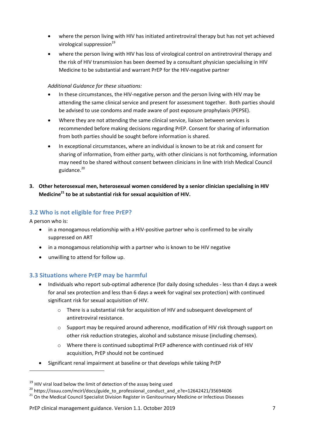- where the person living with HIV has initiated antiretroviral therapy but has not yet achieved virological suppression $19$
- where the person living with HIV has loss of virological control on antiretroviral therapy and the risk of HIV transmission has been deemed by a consultant physician specialising in HIV Medicine to be substantial and warrant PrEP for the HIV-negative partner

### *Additional Guidance for these situations:*

- In these circumstances, the HIV-negative person and the person living with HIV may be attending the same clinical service and present for assessment together. Both parties should be advised to use condoms and made aware of post exposure prophylaxis (PEPSE).
- Where they are not attending the same clinical service, liaison between services is recommended before making decisions regarding PrEP. Consent for sharing of information from both parties should be sought before information is shared.
- In exceptional circumstances, where an individual is known to be at risk and consent for sharing of information, from either party, with other clinicians is not forthcoming, information may need to be shared without consent between clinicians in line with Irish Medical Council guidance. 20

### **3. Other heterosexual men, heterosexual women considered by a senior clinician specialising in HIV Medicine<sup>21</sup> to be at substantial risk for sexual acquisition of HIV.**

## <span id="page-6-0"></span>**3.2 Who is not eligible for free PrEP?**

A person who is:

 $\overline{\phantom{a}}$ 

- in a monogamous relationship with a HIV-positive partner who is confirmed to be virally suppressed on ART
- in a monogamous relationship with a partner who is known to be HIV negative
- unwilling to attend for follow up.

## <span id="page-6-1"></span>**3.3 Situations where PrEP may be harmful**

- Individuals who report sub-optimal adherence (for daily dosing schedules less than 4 days a week for anal sex protection and less than 6 days a week for vaginal sex protection) with continued significant risk for sexual acquisition of HIV.
	- $\circ$  There is a substantial risk for acquisition of HIV and subsequent development of antiretroviral resistance.
	- o Support may be required around adherence, modification of HIV risk through support on other risk reduction strategies, alcohol and substance misuse (including chemsex).
	- o Where there is continued suboptimal PrEP adherence with continued risk of HIV acquisition, PrEP should not be continued
- Significant renal impairment at baseline or that develops while taking PrEP

 $19$  HIV viral load below the limit of detection of the assay being used

<sup>&</sup>lt;sup>20</sup> https://issuu.com/mcirl/docs/guide\_to\_professional\_conduct\_and\_e?e=12642421/35694606

<sup>&</sup>lt;sup>21</sup> On the Medical Council Specialist Division Register in Genitourinary Medicine or Infectious Diseases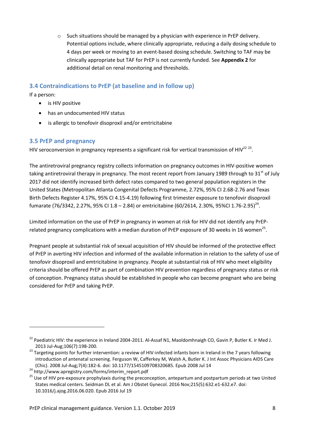$\circ$  Such situations should be managed by a physician with experience in PrEP delivery. Potential options include, where clinically appropriate, reducing a daily dosing schedule to 4 days per week or moving to an event-based dosing schedule. Switching to TAF may be clinically appropriate but TAF for PrEP is not currently funded. See **Appendix 2** for additional detail on renal monitoring and thresholds.

## <span id="page-7-0"></span>**3.4 Contraindications to PrEP (at baseline and in follow up)**

If a person:

 $\overline{a}$ 

- is HIV positive
- has an undocumented HIV status
- is allergic to tenofovir disoproxil and/or emtricitabine

### <span id="page-7-1"></span>**3.5 PrEP and pregnancy**

HIV seroconversion in pregnancy represents a significant risk for vertical transmission of HIV<sup>22 23</sup>.

The antiretroviral pregnancy registry collects information on pregnancy outcomes in HIV-positive women taking antiretroviral therapy in pregnancy. The most recent report from January 1989 through to 31<sup>st</sup> of July 2017 did not identify increased birth defect rates compared to two general population registers in the United States (Metropolitan Atlanta Congenital Defects Programme, 2.72%, 95% CI 2.68-2.76 and Texas Birth Defects Register 4.17%, 95% CI 4.15-4.19) following first trimester exposure to tenofovir disoproxil fumarate (76/3342, 2.27%, 95% CI 1.8 – 2.84) or emtricitabine (60/2614, 2.30%, 95%CI 1.76-2.95)<sup>24</sup>.

Limited information on the use of PrEP in pregnancy in women at risk for HIV did not identify any PrEPrelated pregnancy complications with a median duration of PrEP exposure of 30 weeks in 16 women<sup>25</sup>.

Pregnant people at substantial risk of sexual acquisition of HIV should be informed of the protective effect of PrEP in averting HIV infection and informed of the available information in relation to the safety of use of tenofovir disoproxil and emtricitabine in pregnancy. People at substantial risk of HIV who meet eligibility criteria should be offered PrEP as part of combination HIV prevention regardless of pregnancy status or risk of conception. Pregnancy status should be established in people who can become pregnant who are being considered for PrEP and taking PrEP.

<sup>&</sup>lt;sup>22</sup> Paediatric HIV: the experience in Ireland 2004-2011. Al-Assaf N1, Maoldomhnaigh CO, Gavin P, Butler K. Ir Med J. 2013 Jul-Aug;106(7):198-200.

<sup>23</sup> Targeting points for further intervention: a review of HIV-infected infants born in Ireland in the 7 years following [introduction of antenatal screening.](https://www.ncbi.nlm.nih.gov/pubmed/18626125) Ferguson W, Cafferkey M, Walsh A, Butler K. J Int Assoc Physicians AIDS Care (Chic). 2008 Jul-Aug;7(4):182-6. doi: 10.1177/1545109708320685. Epub 2008 Jul 14

<sup>24</sup> http://www.apregistry.com/forms/interim\_report.pdf

<sup>&</sup>lt;sup>25</sup> Use of HIV pre-exposure prophylaxis during the preconception, antepartum and postpartum periods at two United States medical centers. [Seidman DL](https://www.ncbi.nlm.nih.gov/pubmed/?term=Seidman%20DL%5BAuthor%5D&cauthor=true&cauthor_uid=27448959) et al. [Am J Obstet Gynecol.](https://www.ncbi.nlm.nih.gov/pubmed/?term=seidman+dl+prep+hiv+preconception) 2016 Nov;215(5):632.e1-632.e7. doi: 10.1016/j.ajog.2016.06.020. Epub 2016 Jul 19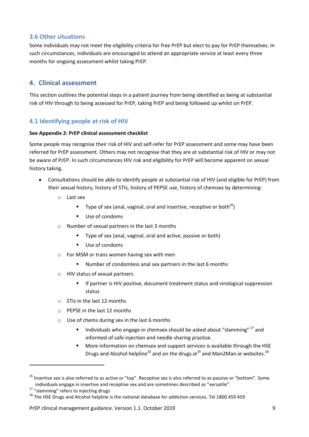### <span id="page-8-0"></span>**3.6 Other situations**

Some individuals may not meet the eligibility criteria for free PrEP but elect to pay for PrEP themselves. In such circumstances, individuals are encouraged to attend an appropriate service at least every three months for ongoing assessment whilst taking PrEP.

### <span id="page-8-1"></span>**4. Clinical assessment**

This section outlines the potential steps in a patient journey from being identified as being at substantial risk of HIV through to being assessed for PrEP, taking PrEP and being followed up whilst on PrEP.

### <span id="page-8-2"></span>**4.1 Identifying people at risk of HIV**

#### **See Appendix 2: PrEP clinical assessment checklist**

Some people may recognise their risk of HIV and self-refer for PrEP assessment and some may have been referred for PrEP assessment. Others may not recognise that they are at substantial risk of HIV or may not be aware of PrEP. In such circumstances HIV risk and eligibility for PrEP will become apparent on sexual history taking.

- Consultations should be able to identify people at substantial risk of HIV (and eligible for PrEP) from their sexual history, history of STIs, history of PEPSE use, history of chemsex by determining:
	- o Last sex
		- **Type of sex (anal, vaginal, oral and insertive, receptive or both**<sup>26</sup>)
		- Use of condoms
	- o Number of sexual partners in the last 3 months
		- **Type of sex (anal, vaginal, oral and active, passive or both)**
		- Use of condoms
	- o For MSM or trans women having sex with men
		- Number of condomless anal sex partners in the last 6 months
	- o HIV status of sexual partners
		- **If partner is HIV positive, document treatment status and virological suppression** status
	- o STIs in the last 12 months
	- o PEPSE in the last 12 months
	- o Use of chems during sex in the last 6 months
		- Individuals who engage in chemsex should be asked about "slamming"  $27$  and informed of safe injection and needle sharing practise.
		- More information on chemsex and support services is available through the HSE Drugs and Alcohol helpline<sup>28</sup> and on the drugs.ie<sup>29</sup> and Man2Man.ie websites.<sup>30</sup>

<sup>&</sup>lt;sup>26</sup> Insertive sex is also referred to as active or "top". Receptive sex is also referred to as passive or "bottom". Some individuals engage in insertive and receptive sex and are sometimes described as "versatile".

<sup>&</sup>lt;sup>27</sup> "slamming" refers to injecting drugs

<sup>&</sup>lt;sup>28</sup> The HSE Drugs and Alcohol helpline is the national database for addiction services. Tel 1800 459 459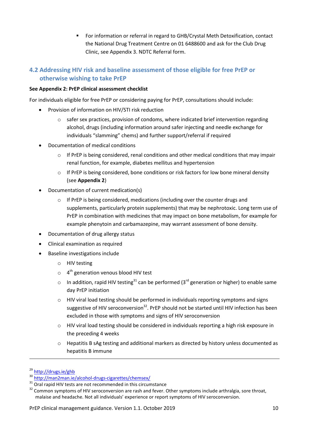**For information or referral in regard to GHB/Crystal Meth Detoxification, contact** the National Drug Treatment Centre on 01 6488600 and ask for the Club Drug Clinic, see Appendix 3. NDTC Referral form.

## <span id="page-9-0"></span>**4.2 Addressing HIV risk and baseline assessment of those eligible for free PrEP or otherwise wishing to take PrEP**

#### **See Appendix 2: PrEP clinical assessment checklist**

For individuals eligible for free PrEP or considering paying for PrEP, consultations should include:

- Provision of information on HIV/STI risk reduction
	- o safer sex practices, provision of condoms, where indicated brief intervention regarding alcohol, drugs (including information around safer injecting and needle exchange for individuals "slamming" chems) and further support/referral if required
- Documentation of medical conditions
	- $\circ$  If PrEP is being considered, renal conditions and other medical conditions that may impair renal function, for example, diabetes mellitus and hypertension
	- o If PrEP is being considered, bone conditions or risk factors for low bone mineral density (see **Appendix 2**)
- Documentation of current medication(s)
	- o If PrEP is being considered, medications (including over the counter drugs and supplements, particularly protein supplements) that may be nephrotoxic. Long term use of PrEP in combination with medicines that may impact on bone metabolism, for example for example phenytoin and carbamazepine, may warrant assessment of bone density.
- Documentation of drug allergy status
- Clinical examination as required
- Baseline investigations include
	- o HIV testing
	- $\circ$  4<sup>th</sup> generation venous blood HIV test
	- o In addition, rapid HIV testing<sup>31</sup> can be performed (3<sup>rd</sup> generation or higher) to enable same day PrEP initiation
	- $\circ$  HIV viral load testing should be performed in individuals reporting symptoms and signs suggestive of HIV seroconversion<sup>32</sup>. PrEP should not be started until HIV infection has been excluded in those with symptoms and signs of HIV seroconversion
	- o HIV viral load testing should be considered in individuals reporting a high risk exposure in the preceding 4 weeks
	- o Hepatitis B sAg testing and additional markers as directed by history unless documented as hepatitis B immune

 $\overline{\phantom{a}}$ 

<sup>29</sup> <http://drugs.ie/ghb>

<sup>30</sup> <http://man2man.ie/alcohol-drugs-cigarettes/chemsex/>

<sup>&</sup>lt;sup>31</sup> Oral rapid HIV tests are not recommended in this circumstance

<sup>&</sup>lt;sup>32</sup> Common symptoms of HIV seroconversion are rash and fever. Other symptoms include arthralgia, sore throat, malaise and headache. Not all individuals' experience or report symptoms of HIV seroconversion.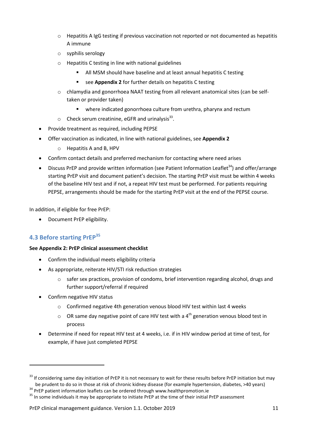- o Hepatitis A IgG testing if previous vaccination not reported or not documented as hepatitis A immune
- o syphilis serology
- o Hepatitis C testing in line with national guidelines
	- All MSM should have baseline and at least annual hepatitis C testing
	- **EXECTE 2** see Appendix 2 for further details on hepatitis C testing
- o chlamydia and gonorrhoea NAAT testing from all relevant anatomical sites (can be selftaken or provider taken)
	- where indicated gonorrhoea culture from urethra, pharynx and rectum
- $\circ$  Check serum creatinine, eGFR and urinalysis<sup>33</sup>.
- Provide treatment as required, including PEPSE
- Offer vaccination as indicated, in line with national guidelines, see **Appendix 2**
	- o Hepatitis A and B, HPV
- Confirm contact details and preferred mechanism for contacting where need arises
- $\bullet$  Discuss PrEP and provide written information (see Patient Information Leaflet<sup>34</sup>) and offer/arrange starting PrEP visit and document patient's decision. The starting PrEP visit must be within 4 weeks of the baseline HIV test and if not, a repeat HIV test must be performed. For patients requiring PEPSE, arrangements should be made for the starting PrEP visit at the end of the PEPSE course.

In addition, if eligible for free PrEP:

• Document PrEP eligibility.

## <span id="page-10-0"></span>**4.3 Before starting PrEP<sup>35</sup>**

#### **See Appendix 2: PrEP clinical assessment checklist**

- Confirm the individual meets eligibility criteria
- As appropriate, reiterate HIV/STI risk reduction strategies
	- o safer sex practices, provision of condoms, brief intervention regarding alcohol, drugs and further support/referral if required
- Confirm negative HIV status

- o Confirmed negative 4th generation venous blood HIV test within last 4 weeks
- $\circ$  OR same day negative point of care HIV test with a 4<sup>th</sup> generation venous blood test in process
- Determine if need for repeat HIV test at 4 weeks, i.e. if in HIV window period at time of test, for example, if have just completed PEPSE

<sup>&</sup>lt;sup>33</sup> If considering same day initiation of PrEP it is not necessary to wait for these results before PrEP initiation but may be prudent to do so in those at risk of chronic kidney disease (for example hypertension, diabetes, >40 years)

 $34$  PrEP patient information leaflets can be ordered through www.healthpromotion.ie

<sup>&</sup>lt;sup>35</sup> In some individuals it may be appropriate to initiate PrEP at the time of their initial PrEP assessment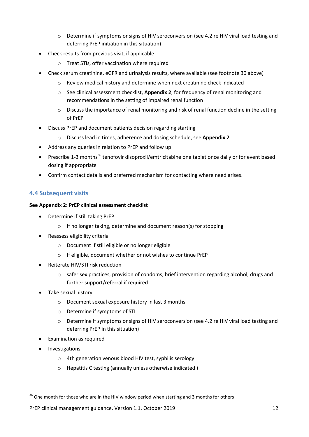- o Determine if symptoms or signs of HIV seroconversion (see 4.2 re HIV viral load testing and deferring PrEP initiation in this situation)
- Check results from previous visit, if applicable
	- o Treat STIs, offer vaccination where required
- Check serum creatinine, eGFR and urinalysis results, where available (see footnote 30 above)
	- o Review medical history and determine when next creatinine check indicated
	- o See clinical assessment checklist, **Appendix 2**, for frequency of renal monitoring and recommendations in the setting of impaired renal function
	- o Discuss the importance of renal monitoring and risk of renal function decline in the setting of PrEP
- Discuss PrEP and document patients decision regarding starting
	- o Discuss lead in times, adherence and dosing schedule, see **Appendix 2**
- Address any queries in relation to PrEP and follow up
- Prescribe 1-3 months<sup>36</sup> tenofovir disoproxil/emtricitabine one tablet once daily or for event based dosing if appropriate
- Confirm contact details and preferred mechanism for contacting where need arises.

### <span id="page-11-0"></span>**4.4 Subsequent visits**

#### **See Appendix 2: PrEP clinical assessment checklist**

- Determine if still taking PrEP
	- o If no longer taking, determine and document reason(s) for stopping
- Reassess eligibility criteria
	- o Document if still eligible or no longer eligible
	- o If eligible, document whether or not wishes to continue PrEP
- Reiterate HIV/STI risk reduction
	- o safer sex practices, provision of condoms, brief intervention regarding alcohol, drugs and further support/referral if required
- Take sexual history
	- o Document sexual exposure history in last 3 months
	- o Determine if symptoms of STI
	- o Determine if symptoms or signs of HIV seroconversion (see 4.2 re HIV viral load testing and deferring PrEP in this situation)
- Examination as required
- **•** Investigations

 $\overline{\phantom{a}}$ 

- o 4th generation venous blood HIV test, syphilis serology
- o Hepatitis C testing (annually unless otherwise indicated )

PrEP clinical management guidance. Version 1.1. October 2019 12

 $36$  One month for those who are in the HIV window period when starting and 3 months for others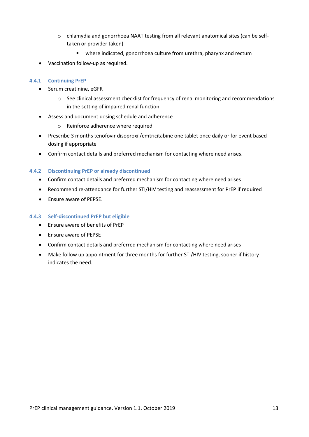- o chlamydia and gonorrhoea NAAT testing from all relevant anatomical sites (can be selftaken or provider taken)
	- where indicated, gonorrhoea culture from urethra, pharynx and rectum
- Vaccination follow-up as required.

#### <span id="page-12-0"></span>**4.4.1 Continuing PrEP**

- Serum creatinine, eGFR
	- o See clinical assessment checklist for frequency of renal monitoring and recommendations in the setting of impaired renal function
- Assess and document dosing schedule and adherence
	- o Reinforce adherence where required
- Prescribe 3 months tenofovir disoproxil/emtricitabine one tablet once daily or for event based dosing if appropriate
- Confirm contact details and preferred mechanism for contacting where need arises.

#### <span id="page-12-1"></span>**4.4.2 Discontinuing PrEP or already discontinued**

- Confirm contact details and preferred mechanism for contacting where need arises
- Recommend re-attendance for further STI/HIV testing and reassessment for PrEP if required
- Ensure aware of PEPSE.

#### <span id="page-12-2"></span>**4.4.3 Self-discontinued PrEP but eligible**

- Ensure aware of benefits of PrEP
- Ensure aware of PEPSE
- Confirm contact details and preferred mechanism for contacting where need arises
- Make follow up appointment for three months for further STI/HIV testing, sooner if history indicates the need.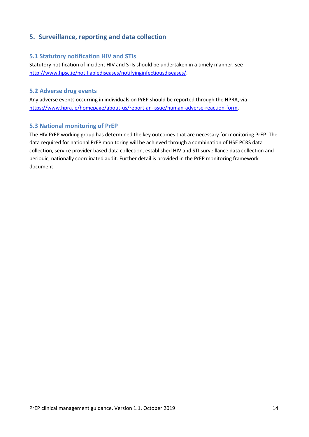## <span id="page-13-0"></span>**5. Surveillance, reporting and data collection**

#### <span id="page-13-1"></span>**5.1 Statutory notification HIV and STIs**

Statutory notification of incident HIV and STIs should be undertaken in a timely manner, see [http://www.hpsc.ie/notifiablediseases/notifyinginfectiousdiseases/.](http://www.hpsc.ie/notifiablediseases/notifyinginfectiousdiseases/)

#### <span id="page-13-2"></span>**5.2 Adverse drug events**

Any adverse events occurring in individuals on PrEP should be reported through the HPRA, via [https://www.hpra.ie/homepage/about-us/report-an-issue/human-adverse-reaction-form.](https://www.hpra.ie/homepage/about-us/report-an-issue/human-adverse-reaction-form)

#### <span id="page-13-3"></span>**5.3 National monitoring of PrEP**

The HIV PrEP working group has determined the key outcomes that are necessary for monitoring PrEP. The data required for national PrEP monitoring will be achieved through a combination of HSE PCRS data collection, service provider based data collection, established HIV and STI surveillance data collection and periodic, nationally coordinated audit. Further detail is provided in the PrEP monitoring framework document.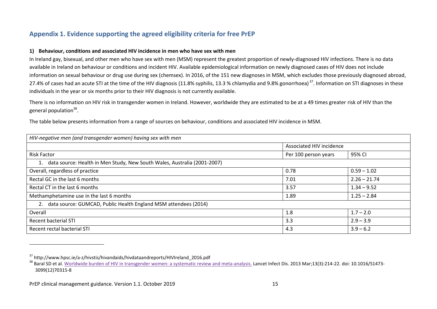## **Appendix 1. Evidence supporting the agreed eligibility criteria for free PrEP**

#### **1) Behaviour, conditions and associated HIV incidence in men who have sex with men**

In Ireland gay, bisexual, and other men who have sex with men (MSM) represent the greatest proportion of newly-diagnosed HIV infections. There is no data available in Ireland on behaviour or conditions and incident HIV. Available epidemiological information on newly diagnosed cases of HIV does not include information on sexual behaviour or drug use during sex (chemsex). In 2016, of the 151 new diagnoses in MSM, which excludes those previously diagnosed abroad, 27.4% of cases had an acute STI at the time of the HIV diagnosis (11.8% syphilis, 13.3 % chlamydia and 9.8% gonorrhoea)<sup>37</sup>. Information on STI diagnoses in these individuals in the year or six months prior to their HIV diagnosis is not currently available.

There is no information on HIV risk in transgender women in Ireland. However, worldwide they are estimated to be at a 49 times greater risk of HIV than the general population<sup>38</sup>.

<span id="page-14-0"></span>

| HIV-negative men (and transgender women) having sex with men                |                          |                |  |  |  |  |
|-----------------------------------------------------------------------------|--------------------------|----------------|--|--|--|--|
|                                                                             | Associated HIV incidence |                |  |  |  |  |
| <b>Risk Factor</b>                                                          | Per 100 person years     | 95% CI         |  |  |  |  |
| 1. data source: Health in Men Study, New South Wales, Australia (2001-2007) |                          |                |  |  |  |  |
| Overall, regardless of practice                                             | 0.78                     | $0.59 - 1.02$  |  |  |  |  |
| Rectal GC in the last 6 months                                              | 7.01                     | $2.26 - 21.74$ |  |  |  |  |
| Rectal CT in the last 6 months                                              | 3.57                     | $1.34 - 9.52$  |  |  |  |  |
| Methamphetamine use in the last 6 months                                    | 1.89                     | $1.25 - 2.84$  |  |  |  |  |
| 2. data source: GUMCAD, Public Health England MSM attendees (2014)          |                          |                |  |  |  |  |
| Overall                                                                     | 1.8                      | $1.7 - 2.0$    |  |  |  |  |
| Recent bacterial STI                                                        | 3.3                      | $2.9 - 3.9$    |  |  |  |  |
| Recent rectal bacterial STI                                                 | 4.3                      | $3.9 - 6.2$    |  |  |  |  |

The table below presents information from a range of sources on behaviour, conditions and associated HIV incidence in MSM.

1

<sup>37</sup> http://www.hpsc.ie/a-z/hivstis/hivandaids/hivdataandreports/HIVIreland\_2016.pdf

<sup>&</sup>lt;sup>38</sup> Baral SD et al. Worldwide burden of HIV in transgender [women: a systematic review and meta-analysis.](https://www.ncbi.nlm.nih.gov/pubmed/23260128) Lancet Infect Dis. 2013 Mar;13(3):214-22. doi: 10.1016/S1473-3099(12)70315-8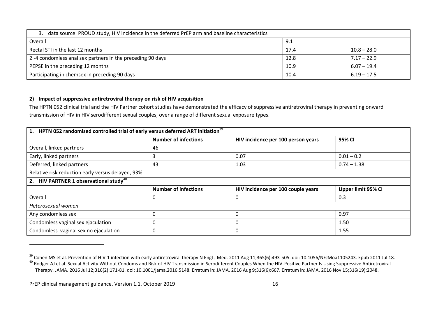| 3. data source: PROUD study, HIV incidence in the deferred PrEP arm and baseline characteristics |      |               |  |  |  |
|--------------------------------------------------------------------------------------------------|------|---------------|--|--|--|
| Overall                                                                                          | 9.1  |               |  |  |  |
| Rectal STI in the last 12 months                                                                 | 17.4 | $10.8 - 28.0$ |  |  |  |
| 2-4 condomless anal sex partners in the preceding 90 days                                        | 12.8 | $7.17 - 22.9$ |  |  |  |
| PEPSE in the preceding 12 months                                                                 | 10.9 | $6.07 - 19.4$ |  |  |  |
| Participating in chemsex in preceding 90 days                                                    | 10.4 | $6.19 - 17.5$ |  |  |  |

#### **2) Impact of suppressive antiretroviral therapy on risk of HIV acquisition**

The HPTN 052 clinical trial and the HIV Partner cohort studies have demonstrated the efficacy of suppressive antiretroviral therapy in preventing onward transmission of HIV in HIV serodifferent sexual couples, over a range of different sexual exposure types.

| HPTN 052 randomised controlled trial of early versus deferred ART initiation <sup>39</sup><br>1. |                             |                                    |                    |  |  |  |  |  |
|--------------------------------------------------------------------------------------------------|-----------------------------|------------------------------------|--------------------|--|--|--|--|--|
|                                                                                                  | <b>Number of infections</b> | HIV incidence per 100 person years | 95% CI             |  |  |  |  |  |
| Overall, linked partners                                                                         | 46                          |                                    |                    |  |  |  |  |  |
| Early, linked partners                                                                           | 3                           | 0.07                               | $0.01 - 0.2$       |  |  |  |  |  |
| Deferred, linked partners                                                                        | 43                          | 1.03                               | $0.74 - 1.38$      |  |  |  |  |  |
| Relative risk reduction early versus delayed, 93%                                                |                             |                                    |                    |  |  |  |  |  |
| 2. HIV PARTNER 1 observational study $40$                                                        |                             |                                    |                    |  |  |  |  |  |
|                                                                                                  | <b>Number of infections</b> | HIV incidence per 100 couple years | Upper limit 95% CI |  |  |  |  |  |
| Overall                                                                                          |                             | 0                                  | 0.3                |  |  |  |  |  |
| Heterosexual women                                                                               |                             |                                    |                    |  |  |  |  |  |
| Any condomless sex                                                                               |                             | 0                                  | 0.97               |  |  |  |  |  |
| Condomless vaginal sex ejaculation                                                               |                             | 0                                  | 1.50               |  |  |  |  |  |
| Condomless vaginal sex no ejaculation                                                            |                             | 0                                  | 1.55               |  |  |  |  |  |

1

<sup>&</sup>lt;sup>39</sup> Cohen MS et al. Prevention of HIV-1 infection with early antiretroviral therapy N Engl J Med. 2011 Aug 11;365(6):493-505. doi: 10.1056/NEJMoa1105243. Epub 2011 Jul 18. 40 Rodger AJ et al. Sexual Activity Without Condoms and Risk of HIV Transmission in Serodifferent Couples When the HIV-Positive Partner Is Using Suppressive Antiretroviral Therapy. JAMA. 2016 Jul 12;316(2):171-81. doi: 10.1001/jama.2016.5148. Erratum in: JAMA. 2016 Aug 9;316(6):667. Erratum in: JAMA. 2016 Nov 15;316(19):2048.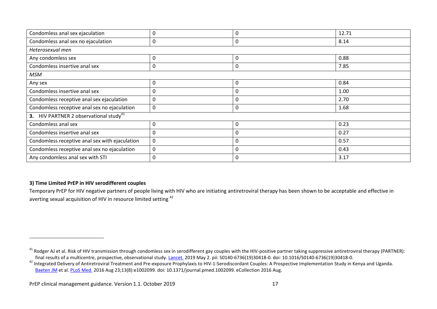| Condomless anal sex ejaculation                       | 0            | 0 | 12.71 |  |  |
|-------------------------------------------------------|--------------|---|-------|--|--|
| Condomless anal sex no ejaculation                    | 0            | 0 | 8.14  |  |  |
| Heterosexual men                                      |              |   |       |  |  |
| Any condomless sex                                    | 0            | 0 | 0.88  |  |  |
| Condomless insertive anal sex                         | 0            |   | 7.85  |  |  |
| MSM                                                   |              |   |       |  |  |
| Any sex                                               | 0            | 0 | 0.84  |  |  |
| Condomless insertive anal sex                         | 0            |   | 1.00  |  |  |
| Condomless receptive anal sex ejaculation             | 0            | 0 | 2.70  |  |  |
| Condomless receptive anal sex no ejaculation          | 0            | U | 1.68  |  |  |
| HIV PARTNER 2 observational study <sup>41</sup><br>3. |              |   |       |  |  |
| Condomless anal sex                                   | 0            | 0 | 0.23  |  |  |
| Condomless insertive anal sex                         | 0            | O | 0.27  |  |  |
| Condomless receptive anal sex with ejaculation        | $\mathbf{0}$ | 0 | 0.57  |  |  |
| Condomless receptive anal sex no ejaculation          | 0            | 0 | 0.43  |  |  |
| Any condomless anal sex with STI                      | 0            | 0 | 3.17  |  |  |

#### **3) Time Limited PrEP in HIV serodifferent couples**

**.** 

Temporary PrEP for HIV negative partners of people living with HIV who are initiating antiretroviral therapy has been shown to be acceptable and effective in averting sexual acquisition of HIV in resource limited setting <sup>42</sup>

<sup>&</sup>lt;sup>41</sup> Rodger AJ et al. Risk of HIV transmission through condomless sex in serodifferent gay couples with the HIV-positive partner taking suppressive antiretroviral therapy (PARTNER): final results of a multicentre, prospective, observational study[. Lancet.](https://www.ncbi.nlm.nih.gov/pubmed/31056293) 2019 May 2. pii: S0140-6736(19)30418-0. doi: 10.1016/S0140-6736(19)30418-0.

<sup>42</sup> Integrated Delivery of Antiretroviral Treatment and Pre-exposure Prophylaxis to HIV-1-Serodiscordant Couples: A Prospective Implementation Study in Kenya and Uganda. [Baeten JM](https://www.ncbi.nlm.nih.gov/pubmed/?term=Baeten%20JM%5BAuthor%5D&cauthor=true&cauthor_uid=27552090) et al[. PLoS Med.](https://www.ncbi.nlm.nih.gov/pubmed/27552090) 2016 Aug 23;13(8):e1002099. doi: 10.1371/journal.pmed.1002099. eCollection 2016 Aug.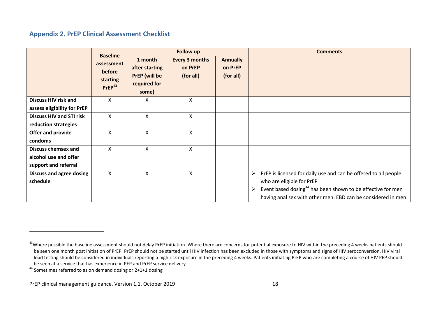## **Appendix 2. PrEP Clinical Assessment Checklist**

|                                                                             | <b>Baseline</b>                |                                        | <b>Follow up</b>                 |                            | <b>Comments</b>                                                                                                                                                                                                                                   |
|-----------------------------------------------------------------------------|--------------------------------|----------------------------------------|----------------------------------|----------------------------|---------------------------------------------------------------------------------------------------------------------------------------------------------------------------------------------------------------------------------------------------|
|                                                                             | assessment<br>before           | 1 month<br>after starting              | <b>Every 3 months</b><br>on PrEP | <b>Annually</b><br>on PrEP |                                                                                                                                                                                                                                                   |
|                                                                             | starting<br>PrEP <sup>43</sup> | PrEP (will be<br>required for<br>some) | (for all)                        | (for all)                  |                                                                                                                                                                                                                                                   |
| <b>Discuss HIV risk and</b><br>assess eligibility for PrEP                  | X                              | X                                      | X                                |                            |                                                                                                                                                                                                                                                   |
| <b>Discuss HIV and STI risk</b><br>reduction strategies                     | X                              | X                                      | X                                |                            |                                                                                                                                                                                                                                                   |
| Offer and provide<br>condoms                                                | X                              | X                                      | X                                |                            |                                                                                                                                                                                                                                                   |
| <b>Discuss chemsex and</b><br>alcohol use and offer<br>support and referral | X                              | X                                      | X                                |                            |                                                                                                                                                                                                                                                   |
| <b>Discuss and agree dosing</b><br>schedule                                 | X                              | X                                      | X                                |                            | PrEP is licensed for daily use and can be offered to all people<br>➤<br>who are eligible for PrEP<br>Event based dosing <sup>44</sup> has been shown to be effective for men<br>➤<br>having anal sex with other men. EBD can be considered in men |

<sup>44</sup> Sometimes referred to as on demand dosing or 2+1+1 dosing

<span id="page-17-0"></span>1

<sup>&</sup>lt;sup>43</sup>Where possible the baseline assessment should not delay PrEP initiation. Where there are concerns for potential exposure to HIV within the preceding 4 weeks patients should be seen one month post initiation of PrEP. PrEP should not be started until HIV infection has been excluded in those with symptoms and signs of HIV seroconversion. HIV viral load testing should be considered in individuals reporting a high risk exposure in the preceding 4 weeks. Patients initiating PrEP who are completing a course of HIV PEP should be seen at a service that has experience in PEP and PrEP service delivery.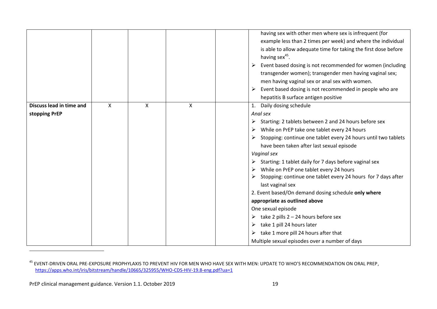|                                 |              |         |   | having sex with other men where sex is infrequent (for<br>example less than 2 times per week) and where the individual<br>is able to allow adequate time for taking the first dose before<br>having sex <sup>45</sup> .<br>Event based dosing is not recommended for women (including<br>➤<br>transgender women); transgender men having vaginal sex;<br>men having vaginal sex or anal sex with women.<br>Event based dosing is not recommended in people who are<br>➤<br>hepatitis B surface antigen positive |
|---------------------------------|--------------|---------|---|-----------------------------------------------------------------------------------------------------------------------------------------------------------------------------------------------------------------------------------------------------------------------------------------------------------------------------------------------------------------------------------------------------------------------------------------------------------------------------------------------------------------|
| <b>Discuss lead in time and</b> | $\mathsf{x}$ | $\sf X$ | Χ | Daily dosing schedule<br>1.                                                                                                                                                                                                                                                                                                                                                                                                                                                                                     |
| stopping PrEP                   |              |         |   | Anal sex                                                                                                                                                                                                                                                                                                                                                                                                                                                                                                        |
|                                 |              |         |   | Starting: 2 tablets between 2 and 24 hours before sex<br>≻                                                                                                                                                                                                                                                                                                                                                                                                                                                      |
|                                 |              |         |   | While on PrEP take one tablet every 24 hours<br>➤                                                                                                                                                                                                                                                                                                                                                                                                                                                               |
|                                 |              |         |   | Stopping: continue one tablet every 24 hours until two tablets                                                                                                                                                                                                                                                                                                                                                                                                                                                  |
|                                 |              |         |   | have been taken after last sexual episode                                                                                                                                                                                                                                                                                                                                                                                                                                                                       |
|                                 |              |         |   | Vaginal sex                                                                                                                                                                                                                                                                                                                                                                                                                                                                                                     |
|                                 |              |         |   | Starting: 1 tablet daily for 7 days before vaginal sex                                                                                                                                                                                                                                                                                                                                                                                                                                                          |
|                                 |              |         |   | While on PrEP one tablet every 24 hours<br>➤                                                                                                                                                                                                                                                                                                                                                                                                                                                                    |
|                                 |              |         |   | Stopping: continue one tablet every 24 hours for 7 days after<br>last vaginal sex                                                                                                                                                                                                                                                                                                                                                                                                                               |
|                                 |              |         |   | 2. Event based/On demand dosing schedule only where                                                                                                                                                                                                                                                                                                                                                                                                                                                             |
|                                 |              |         |   | appropriate as outlined above                                                                                                                                                                                                                                                                                                                                                                                                                                                                                   |
|                                 |              |         |   | One sexual episode                                                                                                                                                                                                                                                                                                                                                                                                                                                                                              |
|                                 |              |         |   |                                                                                                                                                                                                                                                                                                                                                                                                                                                                                                                 |
|                                 |              |         |   | take 2 pills $2 - 24$ hours before sex<br>➤                                                                                                                                                                                                                                                                                                                                                                                                                                                                     |
|                                 |              |         |   | take 1 pill 24 hours later<br>➤                                                                                                                                                                                                                                                                                                                                                                                                                                                                                 |
|                                 |              |         |   | take 1 more pill 24 hours after that<br>➤                                                                                                                                                                                                                                                                                                                                                                                                                                                                       |
|                                 |              |         |   | Multiple sexual episodes over a number of days                                                                                                                                                                                                                                                                                                                                                                                                                                                                  |

<sup>45</sup> EVENT-DRIVEN ORAL PRE-EXPOSURE PROPHYLAXIS TO PREVENT HIV FOR MEN WHO HAVE SEX WITH MEN: UPDATE TO WHO'S RECOMMENDATION ON ORAL PREP, <https://apps.who.int/iris/bitstream/handle/10665/325955/WHO-CDS-HIV-19.8-eng.pdf?ua=1>

**.**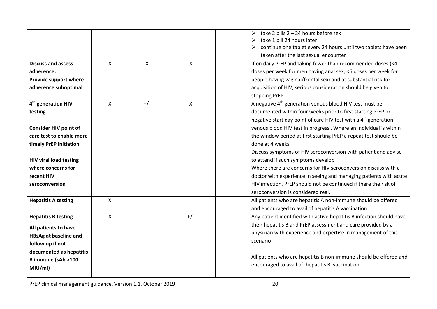|                                |              |              |              | $\triangleright$ take 2 pills 2 – 24 hours before sex                       |
|--------------------------------|--------------|--------------|--------------|-----------------------------------------------------------------------------|
|                                |              |              |              | take 1 pill 24 hours later                                                  |
|                                |              |              |              | continue one tablet every 24 hours until two tablets have been              |
|                                |              |              |              | taken after the last sexual encounter                                       |
| <b>Discuss and assess</b>      | X            | $\mathsf{x}$ | X            | If on daily PrEP and taking fewer than recommended doses (<4                |
| adherence.                     |              |              |              | doses per week for men having anal sex; <6 doses per week for               |
| Provide support where          |              |              |              | people having vaginal/frontal sex) and at substantial risk for              |
| adherence suboptimal           |              |              |              | acquisition of HIV, serious consideration should be given to                |
|                                |              |              |              | stopping PrEP                                                               |
| 4 <sup>th</sup> generation HIV | $\mathsf{x}$ | $+/-$        | $\mathsf{X}$ | A negative 4 <sup>th</sup> generation venous blood HIV test must be         |
| testing                        |              |              |              | documented within four weeks prior to first starting PrEP or                |
|                                |              |              |              | negative start day point of care HIV test with a 4 <sup>th</sup> generation |
| <b>Consider HIV point of</b>   |              |              |              | venous blood HIV test in progress. Where an individual is within            |
| care test to enable more       |              |              |              | the window period at first starting PrEP a repeat test should be            |
| timely PrEP initiation         |              |              |              | done at 4 weeks.                                                            |
|                                |              |              |              | Discuss symptoms of HIV seroconversion with patient and advise              |
| <b>HIV viral load testing</b>  |              |              |              | to attend if such symptoms develop                                          |
| where concerns for             |              |              |              | Where there are concerns for HIV seroconversion discuss with a              |
| recent HIV                     |              |              |              | doctor with experience in seeing and managing patients with acute           |
| seroconversion                 |              |              |              | HIV infection. PrEP should not be continued if there the risk of            |
|                                |              |              |              | seroconversion is considered real.                                          |
| <b>Hepatitis A testing</b>     | $\mathsf{X}$ |              |              | All patients who are hepatitis A non-immune should be offered               |
|                                |              |              |              | and encouraged to avail of hepatitis A vaccination                          |
| <b>Hepatitis B testing</b>     | $\mathsf{X}$ |              | $+/-$        | Any patient identified with active hepatitis B infection should have        |
| All patients to have           |              |              |              | their hepatitis B and PrEP assessment and care provided by a                |
| <b>HBsAg at baseline and</b>   |              |              |              | physician with experience and expertise in management of this               |
| follow up if not               |              |              |              | scenario                                                                    |
| documented as hepatitis        |              |              |              |                                                                             |
| B immune (sAb >100             |              |              |              | All patients who are hepatitis B non-immune should be offered and           |
| MIU/ml)                        |              |              |              | encouraged to avail of hepatitis B vaccination                              |
|                                |              |              |              |                                                                             |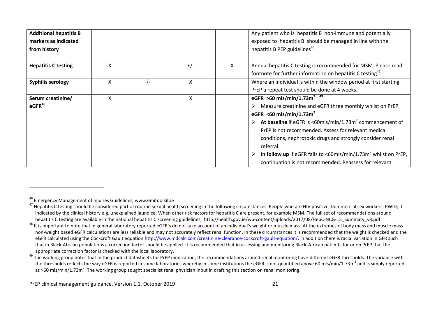| <b>Additional hepatitis B</b> |   |       |       |    | Any patient who is hepatitis B non-immune and potentially                      |
|-------------------------------|---|-------|-------|----|--------------------------------------------------------------------------------|
| markers as indicated          |   |       |       |    | exposed to hepatitis B should be managed in line with the                      |
| from history                  |   |       |       |    | hepatitis B PEP guidelines <sup>46</sup>                                       |
| <b>Hepatitis C testing</b>    | X |       | $+/-$ | X. | Annual hepatitis C testing is recommended for MSM. Please read                 |
|                               |   |       |       |    | footnote for further information on hepatitis C testing <sup>47</sup>          |
| Syphilis serology             | x | $+/-$ | Χ     |    | Where an individual is within the window period at first starting              |
|                               |   |       |       |    | PrEP a repeat test should be done at 4 weeks.                                  |
| Serum creatinine/             | X |       | x     |    | eGFR >60 mls/min/1.73m <sup>2 49</sup>                                         |
| eGFR <sup>48</sup>            |   |       |       |    | Measure creatinine and eGFR three monthly whilst on PrEP                       |
|                               |   |       |       |    | eGFR <60 mls/min/1.73 $m2$                                                     |
|                               |   |       |       |    | At baseline if eGFR is <60mls/min/1.73m <sup>2</sup> commencement of           |
|                               |   |       |       |    | PrEP is not recommended. Assess for relevant medical                           |
|                               |   |       |       |    | conditions, nephrotoxic drugs and strongly consider renal                      |
|                               |   |       |       |    | referral.                                                                      |
|                               |   |       |       |    | In follow up if eGFR falls to $<60$ mls/min/1.73m <sup>2</sup> whilst on PrEP, |
|                               |   |       |       |    | continuation is not recommended. Reassess for relevant                         |

1

<sup>46</sup> Emergency Management of Injuries Guidelines, www.emitoolkit.ie

<sup>&</sup>lt;sup>47</sup> Hepatitis C testing should be considered part of routine sexual health screening in the following circumstances: People who are HIV positive; Commercial sex workers; PWID; If indicated by the clinical history e.g. unexplained jaundice; When other risk factors for hepatitis C are present, for example MSM. The full set of recommendations around hepatitis C testing are available in the national hepatitis C screening guidelines, http://health.gov.ie/wp-content/uploads/2017/08/HepC-NCG-15\_Summary\_v8.pdf

<sup>&</sup>lt;sup>48</sup> It is important to note that in general laboratory reported eGFR's do not take account of an individual's weight or muscle mass. At the extremes of body mass and muscle mass non-weight based eGFR calculations are less reliable and may not accurately reflect renal function. In these circumstances it is recommended that the weight is checked and the eGFR calculated using the Cockcroft Gault equation [http://www.mdcalc.com/creatinine-clearance-cockcroft-gault-equation/.](http://www.mdcalc.com/creatinine-clearance-cockcroft-gault-equation/) In addition there is racial variation in GFR such that in Black-African populations a correction factor should be applied. It is recommended that in assessing and monitoring Black-African patients for or on PrEP that the appropriate correction factor is checked with the local laboratory.

 $49$  The working group notes that in the product datasheets for PrEP medication, the recommendations around renal monitoring have different eGFR thresholds. The variance with the thresholds reflects the way eGFR is reported in some laboratories whereby in some institutions the eGFR is not quantified above 60 mls/min/1.73m<sup>2</sup> and is simply reported as >60 mls/min/1.73m<sup>2</sup>. The working group sought specialist renal physician input in drafting this section on renal monitoring.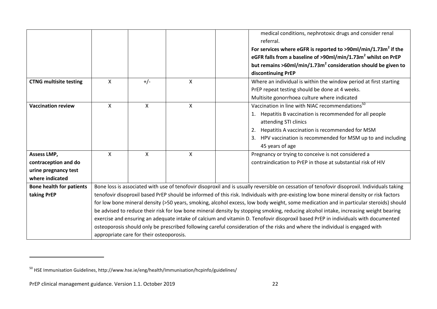|                                 |                                                                                                                                             |                                          |              | medical conditions, nephrotoxic drugs and consider renal<br>referral.<br>For services where eGFR is reported to >90ml/min/1.73m <sup>2</sup> if the |  |  |  |
|---------------------------------|---------------------------------------------------------------------------------------------------------------------------------------------|------------------------------------------|--------------|-----------------------------------------------------------------------------------------------------------------------------------------------------|--|--|--|
|                                 |                                                                                                                                             |                                          |              | eGFR falls from a baseline of >90ml/min/1.73m <sup>2</sup> whilst on PrEP                                                                           |  |  |  |
|                                 |                                                                                                                                             |                                          |              | but remains >60ml/min/1.73m <sup>2</sup> consideration should be given to                                                                           |  |  |  |
|                                 |                                                                                                                                             |                                          |              |                                                                                                                                                     |  |  |  |
|                                 |                                                                                                                                             |                                          |              | discontinuing PrEP                                                                                                                                  |  |  |  |
| <b>CTNG multisite testing</b>   | X                                                                                                                                           | $+/-$                                    | X            | Where an individual is within the window period at first starting                                                                                   |  |  |  |
|                                 |                                                                                                                                             |                                          |              | PrEP repeat testing should be done at 4 weeks.                                                                                                      |  |  |  |
|                                 |                                                                                                                                             |                                          |              | Multisite gonorrhoea culture where indicated                                                                                                        |  |  |  |
| <b>Vaccination review</b>       | X                                                                                                                                           | $\mathsf{x}$                             | X            | Vaccination in line with NIAC recommendations <sup>50</sup>                                                                                         |  |  |  |
|                                 |                                                                                                                                             |                                          |              | Hepatitis B vaccination is recommended for all people                                                                                               |  |  |  |
|                                 |                                                                                                                                             |                                          |              | attending STI clinics                                                                                                                               |  |  |  |
|                                 |                                                                                                                                             |                                          |              | Hepatitis A vaccination is recommended for MSM<br>2.                                                                                                |  |  |  |
|                                 |                                                                                                                                             |                                          |              | HPV vaccination is recommended for MSM up to and including<br>3.                                                                                    |  |  |  |
|                                 |                                                                                                                                             |                                          |              | 45 years of age                                                                                                                                     |  |  |  |
| <b>Assess LMP,</b>              | X                                                                                                                                           | $\boldsymbol{\mathsf{X}}$                | $\mathsf{x}$ | Pregnancy or trying to conceive is not considered a                                                                                                 |  |  |  |
| contraception and do            |                                                                                                                                             |                                          |              | contraindication to PrEP in those at substantial risk of HIV                                                                                        |  |  |  |
| urine pregnancy test            |                                                                                                                                             |                                          |              |                                                                                                                                                     |  |  |  |
| where indicated                 |                                                                                                                                             |                                          |              |                                                                                                                                                     |  |  |  |
| <b>Bone health for patients</b> | Bone loss is associated with use of tenofovir disoproxil and is usually reversible on cessation of tenofovir disoproxil. Individuals taking |                                          |              |                                                                                                                                                     |  |  |  |
| taking PrEP                     | tenofovir disoproxil based PrEP should be informed of this risk. Individuals with pre-existing low bone mineral density or risk factors     |                                          |              |                                                                                                                                                     |  |  |  |
|                                 | for low bone mineral density (>50 years, smoking, alcohol excess, low body weight, some medication and in particular steroids) should       |                                          |              |                                                                                                                                                     |  |  |  |
|                                 | be advised to reduce their risk for low bone mineral density by stopping smoking, reducing alcohol intake, increasing weight bearing        |                                          |              |                                                                                                                                                     |  |  |  |
|                                 | exercise and ensuring an adequate intake of calcium and vitamin D. Tenofovir disoproxil based PrEP in individuals with documented           |                                          |              |                                                                                                                                                     |  |  |  |
|                                 | osteoporosis should only be prescribed following careful consideration of the risks and where the individual is engaged with                |                                          |              |                                                                                                                                                     |  |  |  |
|                                 |                                                                                                                                             |                                          |              |                                                                                                                                                     |  |  |  |
|                                 |                                                                                                                                             | appropriate care for their osteoporosis. |              |                                                                                                                                                     |  |  |  |

 $50$  HSE Immunisation Guidelines, http://www.hse.ie/eng/health/Immunisation/hcpinfo/guidelines/